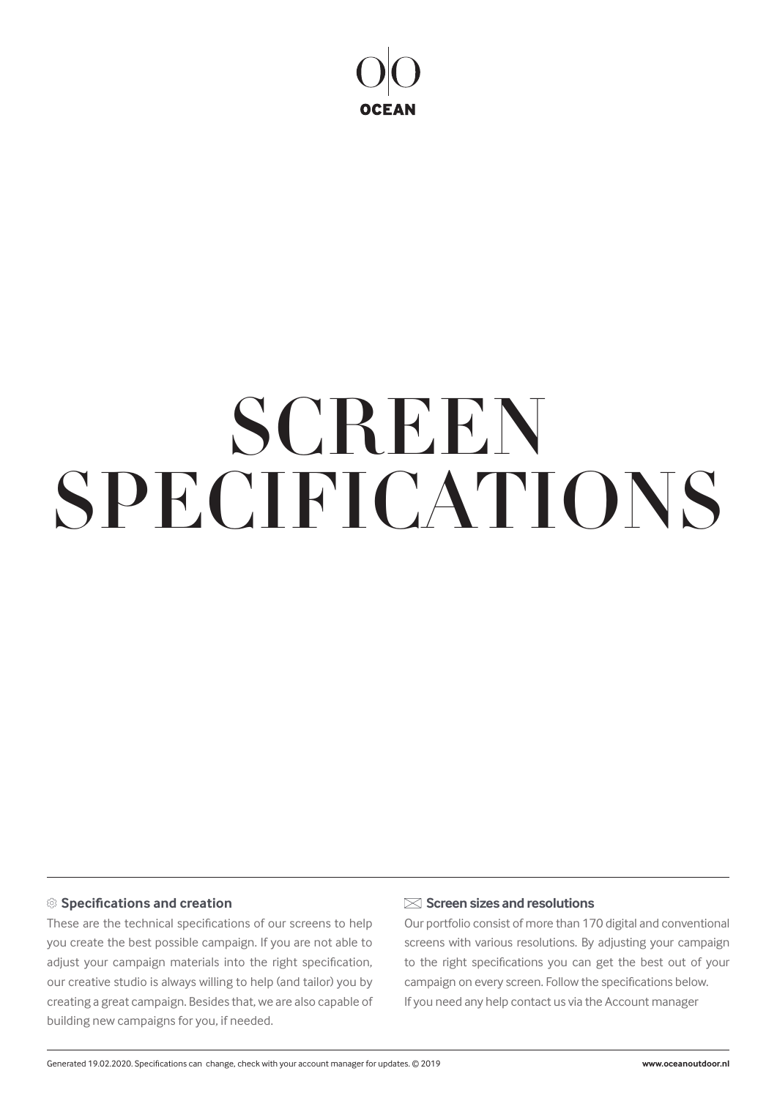

# SPECIFICATIONS **SCREEN**

## **Specifications and creation**

These are the technical specifications of our screens to help you create the best possible campaign. If you are not able to adjust your campaign materials into the right specification, our creative studio is always willing to help (and tailor) you by creating a great campaign. Besides that, we are also capable of building new campaigns for you, if needed.

### **Screen sizes and resolutions**

Our portfolio consist of more than 170 digital and conventional screens with various resolutions. By adjusting your campaign to the right specifications you can get the best out of your campaign on every screen. Follow the specifications below. If you need any help contact us via the Account manager